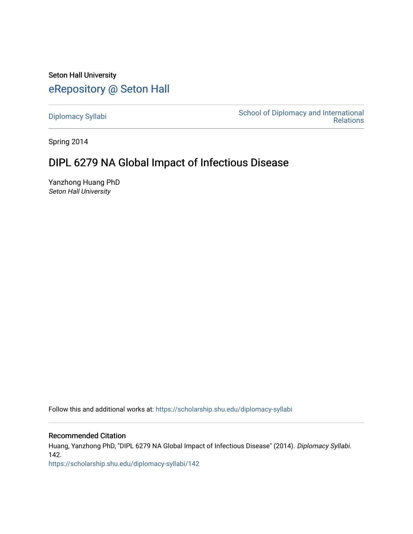Seton Hall University [eRepository @ Seton Hall](https://scholarship.shu.edu/)

[Diplomacy Syllabi](https://scholarship.shu.edu/diplomacy-syllabi) [School of Diplomacy and International](https://scholarship.shu.edu/diplomacy)  [Relations](https://scholarship.shu.edu/diplomacy) 

Spring 2014

# DIPL 6279 NA Global Impact of Infectious Disease

Yanzhong Huang PhD Seton Hall University

Follow this and additional works at: [https://scholarship.shu.edu/diplomacy-syllabi](https://scholarship.shu.edu/diplomacy-syllabi?utm_source=scholarship.shu.edu%2Fdiplomacy-syllabi%2F142&utm_medium=PDF&utm_campaign=PDFCoverPages) 

## Recommended Citation

Huang, Yanzhong PhD, "DIPL 6279 NA Global Impact of Infectious Disease" (2014). Diplomacy Syllabi. 142.

[https://scholarship.shu.edu/diplomacy-syllabi/142](https://scholarship.shu.edu/diplomacy-syllabi/142?utm_source=scholarship.shu.edu%2Fdiplomacy-syllabi%2F142&utm_medium=PDF&utm_campaign=PDFCoverPages)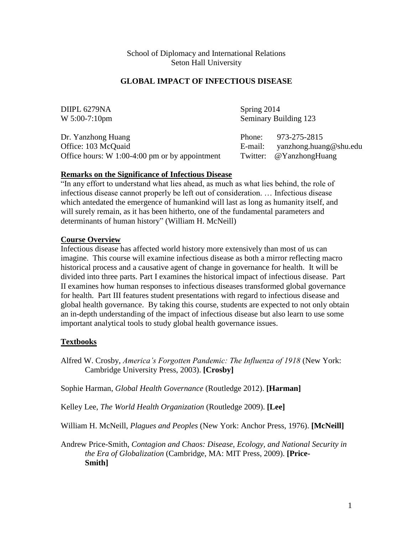School of Diplomacy and International Relations Seton Hall University

#### **GLOBAL IMPACT OF INFECTIOUS DISEASE**

| DIIPL 6279NA                                                                                  | Spring 2014           |                                                                   |
|-----------------------------------------------------------------------------------------------|-----------------------|-------------------------------------------------------------------|
| $W 5:00-7:10$ pm                                                                              | Seminary Building 123 |                                                                   |
| Dr. Yanzhong Huang<br>Office: 103 McQuaid<br>Office hours: $W$ 1:00-4:00 pm or by appointment | Phone:<br>E-mail:     | 973-275-2815<br>yanzhong.huang@shu.edu<br>Twitter: @YanzhongHuang |

## **Remarks on the Significance of Infectious Disease**

"In any effort to understand what lies ahead, as much as what lies behind, the role of infectious disease cannot properly be left out of consideration. … Infectious disease which antedated the emergence of humankind will last as long as humanity itself, and will surely remain, as it has been hitherto, one of the fundamental parameters and determinants of human history" (William H. McNeill)

## **Course Overview**

Infectious disease has affected world history more extensively than most of us can imagine. This course will examine infectious disease as both a mirror reflecting macro historical process and a causative agent of change in governance for health. It will be divided into three parts. Part I examines the historical impact of infectious disease. Part II examines how human responses to infectious diseases transformed global governance for health. Part III features student presentations with regard to infectious disease and global health governance. By taking this course, students are expected to not only obtain an in-depth understanding of the impact of infectious disease but also learn to use some important analytical tools to study global health governance issues.

## **Textbooks**

Alfred W. Crosby, *America's Forgotten Pandemic: The Influenza of 1918* (New York: Cambridge University Press, 2003). **[Crosby]**

Sophie Harman, *Global Health Governance* (Routledge 2012). **[Harman]**

Kelley Lee, *The World Health Organization* (Routledge 2009). **[Lee]**

William H. McNeill, *Plagues and Peoples* (New York: Anchor Press, 1976). **[McNeill]**

Andrew Price-Smith, *Contagion and Chaos: Disease, Ecology, and National Security in the Era of Globalization* (Cambridge, MA: MIT Press, 2009). **[Price-Smith]**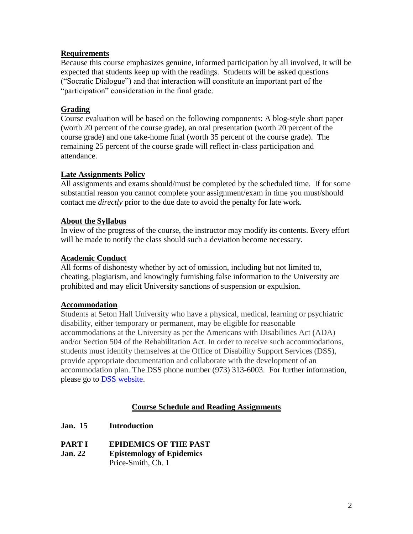## **Requirements**

Because this course emphasizes genuine, informed participation by all involved, it will be expected that students keep up with the readings. Students will be asked questions ("Socratic Dialogue") and that interaction will constitute an important part of the "participation" consideration in the final grade.

# **Grading**

Course evaluation will be based on the following components: A blog-style short paper (worth 20 percent of the course grade), an oral presentation (worth 20 percent of the course grade) and one take-home final (worth 35 percent of the course grade). The remaining 25 percent of the course grade will reflect in-class participation and attendance.

# **Late Assignments Policy**

All assignments and exams should/must be completed by the scheduled time. If for some substantial reason you cannot complete your assignment/exam in time you must/should contact me *directly* prior to the due date to avoid the penalty for late work.

## **About the Syllabus**

In view of the progress of the course, the instructor may modify its contents. Every effort will be made to notify the class should such a deviation become necessary.

## **Academic Conduct**

All forms of dishonesty whether by act of omission, including but not limited to, cheating, plagiarism, and knowingly furnishing false information to the University are prohibited and may elicit University sanctions of suspension or expulsion.

## **Accommodation**

Students at Seton Hall University who have a physical, medical, learning or psychiatric disability, either temporary or permanent, may be eligible for reasonable accommodations at the University as per the Americans with Disabilities Act (ADA) and/or Section 504 of the Rehabilitation Act. In order to receive such accommodations, students must identify themselves at the Office of Disability Support Services (DSS), provide appropriate documentation and collaborate with the development of an accommodation plan. The DSS phone number (973) 313-6003. For further information, please go to [DSS website.](http://www.shu.edu/offices/policies-procedures/disability-support-services-statement-on-students-with-disabilities.cfm)

# **Course Schedule and Reading Assignments**

- **Jan. 15 Introduction**
- **PART I EPIDEMICS OF THE PAST**
- **Jan. 22 Epistemology of Epidemics** Price-Smith, Ch. 1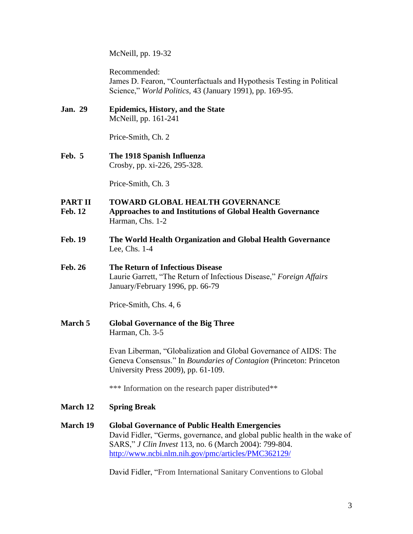McNeill, pp. 19-32

Recommended: James D. Fearon, "Counterfactuals and Hypothesis Testing in Political Science," *World Politics,* 43 (January 1991), pp. 169-95.

**Jan. 29 Epidemics, History, and the State** McNeill, pp. 161-241

Price-Smith, Ch. 2

**Feb. 5 The 1918 Spanish Influenza** Crosby, pp. xi-226, 295-328.

Price-Smith, Ch. 3

## **PART II TOWARD GLOBAL HEALTH GOVERNANCE**

- **Feb. 12 Approaches to and Institutions of Global Health Governance** Harman, Chs. 1-2
- **Feb. 19 The World Health Organization and Global Health Governance** Lee, Chs. 1-4
- **Feb. 26 The Return of Infectious Disease** Laurie Garrett, "The Return of Infectious Disease," *Foreign Affairs* January/February 1996, pp. 66-79

Price-Smith, Chs. 4, 6

**March 5 Global Governance of the Big Three** Harman, Ch. 3-5

> Evan Liberman, "Globalization and Global Governance of AIDS: The Geneva Consensus." In *Boundaries of Contagion* (Princeton: Princeton University Press 2009), pp. 61-109.

\*\*\* Information on the research paper distributed\*\*

- **March 12 Spring Break**
- **March 19 Global Governance of Public Health Emergencies** David Fidler, "Germs, governance, and global public health in the wake of SARS," *J Clin Invest* 113, no. 6 (March 2004): 799-804. <http://www.ncbi.nlm.nih.gov/pmc/articles/PMC362129/>

David Fidler, "From International Sanitary Conventions to Global